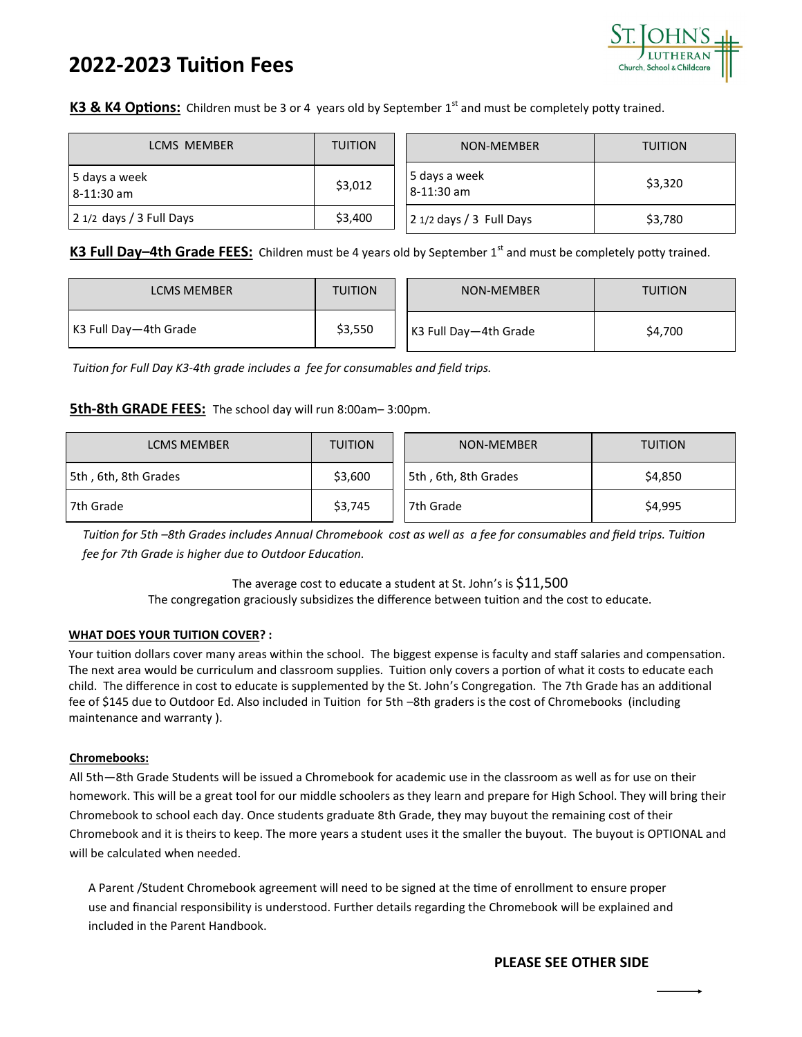# **2022-2023 Tuition Fees**



## K3 & K4 Options: Children must be 3 or 4 years old by September 1<sup>st</sup> and must be completely potty trained.

| LCMS MEMBER                 | <b>TUITION</b> | NON-MEMBER                  | <b>TUITION</b><br>\$3,320 |  |
|-----------------------------|----------------|-----------------------------|---------------------------|--|
| 5 days a week<br>8-11:30 am | \$3,012        | 5 days a week<br>8-11:30 am |                           |  |
| 2 1/2 days / 3 Full Days    | \$3,400        | 2 1/2 days / 3 Full Days    | \$3,780                   |  |

## K3 Full Day–4th Grade FEES: Children must be 4 years old by September 1<sup>st</sup> and must be completely potty trained.

| <b>LCMS MEMBER</b>    | <b>TUITION</b> | NON-MEMBER            | <b>TUITION</b> |
|-----------------------|----------------|-----------------------|----------------|
| K3 Full Day-4th Grade | \$3,550        | K3 Full Day-4th Grade | \$4,700        |

*Tuition for Full Day K3-4th grade includes a fee for consumables and field trips.*

#### **5th-8th GRADE FEES:** The school day will run 8:00am– 3:00pm.

| <b>LCMS MEMBER</b>   | <b>TUITION</b> | NON-MEMBER           | <b>TUITION</b> |  |
|----------------------|----------------|----------------------|----------------|--|
| 5th, 6th, 8th Grades | \$3,600        | 5th, 6th, 8th Grades | \$4,850        |  |
| 7th Grade            | \$3,745        | 7th Grade            | \$4,995        |  |

*Tuition for 5th –8th Grades includes Annual Chromebook cost as well as a fee for consumables and field trips. Tuition fee for 7th Grade is higher due to Outdoor Education.*

> The average cost to educate a student at St. John's is \$11,500 The congregation graciously subsidizes the difference between tuition and the cost to educate.

#### **WHAT DOES YOUR TUITION COVER? :**

Your tuition dollars cover many areas within the school. The biggest expense is faculty and staff salaries and compensation. The next area would be curriculum and classroom supplies. Tuition only covers a portion of what it costs to educate each child. The difference in cost to educate is supplemented by the St. John's Congregation. The 7th Grade has an additional fee of \$145 due to Outdoor Ed. Also included in Tuition for 5th –8th graders is the cost of Chromebooks (including maintenance and warranty ).

#### **Chromebooks:**

All 5th—8th Grade Students will be issued a Chromebook for academic use in the classroom as well as for use on their homework. This will be a great tool for our middle schoolers as they learn and prepare for High School. They will bring their Chromebook to school each day. Once students graduate 8th Grade, they may buyout the remaining cost of their Chromebook and it is theirs to keep. The more years a student uses it the smaller the buyout. The buyout is OPTIONAL and will be calculated when needed.

A Parent /Student Chromebook agreement will need to be signed at the time of enrollment to ensure proper use and financial responsibility is understood. Further details regarding the Chromebook will be explained and included in the Parent Handbook.

### **PLEASE SEE OTHER SIDE**